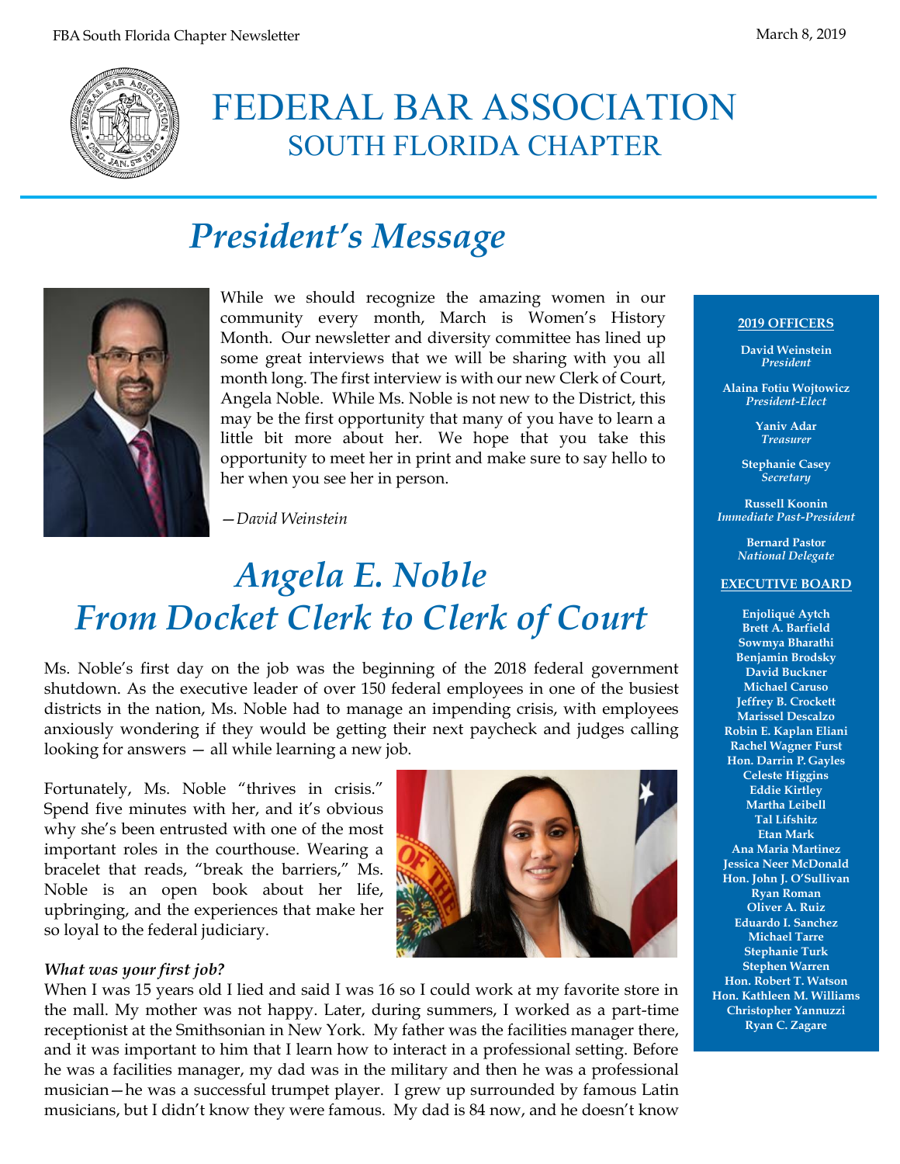

## FEDERAL BAR ASSOCIATION SOUTH FLORIDA CHAPTER

## *President's Message*



While we should recognize the amazing women in our community every month, March is Women's History Month. Our newsletter and diversity committee has lined up some great interviews that we will be sharing with you all month long. The first interview is with our new Clerk of Court, Angela Noble. While Ms. Noble is not new to the District, this may be the first opportunity that many of you have to learn a little bit more about her. We hope that you take this opportunity to meet her in print and make sure to say hello to her when you see her in person.

—*David Weinstein*

# *Angela E. Noble From Docket Clerk to Clerk of Court*

Ms. Noble's first day on the job was the beginning of the 2018 federal government shutdown. As the executive leader of over 150 federal employees in one of the busiest districts in the nation, Ms. Noble had to manage an impending crisis, with employees anxiously wondering if they would be getting their next paycheck and judges calling looking for answers — all while learning a new job.

Fortunately, Ms. Noble "thrives in crisis." Spend five minutes with her, and it's obvious why she's been entrusted with one of the most important roles in the courthouse. Wearing a bracelet that reads, "break the barriers," Ms. Noble is an open book about her life, upbringing, and the experiences that make her so loyal to the federal judiciary.



#### *What was your first job?*

When I was 15 years old I lied and said I was 16 so I could work at my favorite store in the mall. My mother was not happy. Later, during summers, I worked as a part-time receptionist at the Smithsonian in New York. My father was the facilities manager there, and it was important to him that I learn how to interact in a professional setting. Before he was a facilities manager, my dad was in the military and then he was a professional musician—he was a successful trumpet player. I grew up surrounded by famous Latin musicians, but I didn't know they were famous. My dad is 84 now, and he doesn't know

#### **2019 OFFICERS**

**David Weinstein** *President*

**Alaina Fotiu Wojtowicz** *President-Elect*

> **Yaniv Adar** *Treasurer*

**Stephanie Casey** *Secretary*

**Russell Koonin** *Immediate Past-President*

> **Bernard Pastor** *National Delegate*

#### **EXECUTIVE BOARD**

**Enjoliqué Aytch Brett A. Barfield Sowmya Bharathi Benjamin Brodsky David Buckner Michael Caruso Jeffrey B. Crockett Marissel Descalzo Robin E. Kaplan Eliani Rachel Wagner Furst Hon. Darrin P. Gayles Celeste Higgins Eddie Kirtley Martha Leibell Tal Lifshitz Etan Mark Ana Maria Martinez Jessica Neer McDonald Hon. John J. O'Sullivan Ryan Roman Oliver A. Ruiz Eduardo I. Sanchez Michael Tarre Stephanie Turk Stephen Warren Hon. Robert T. Watson Hon. Kathleen M. Williams Christopher Yannuzzi Ryan C. Zagare**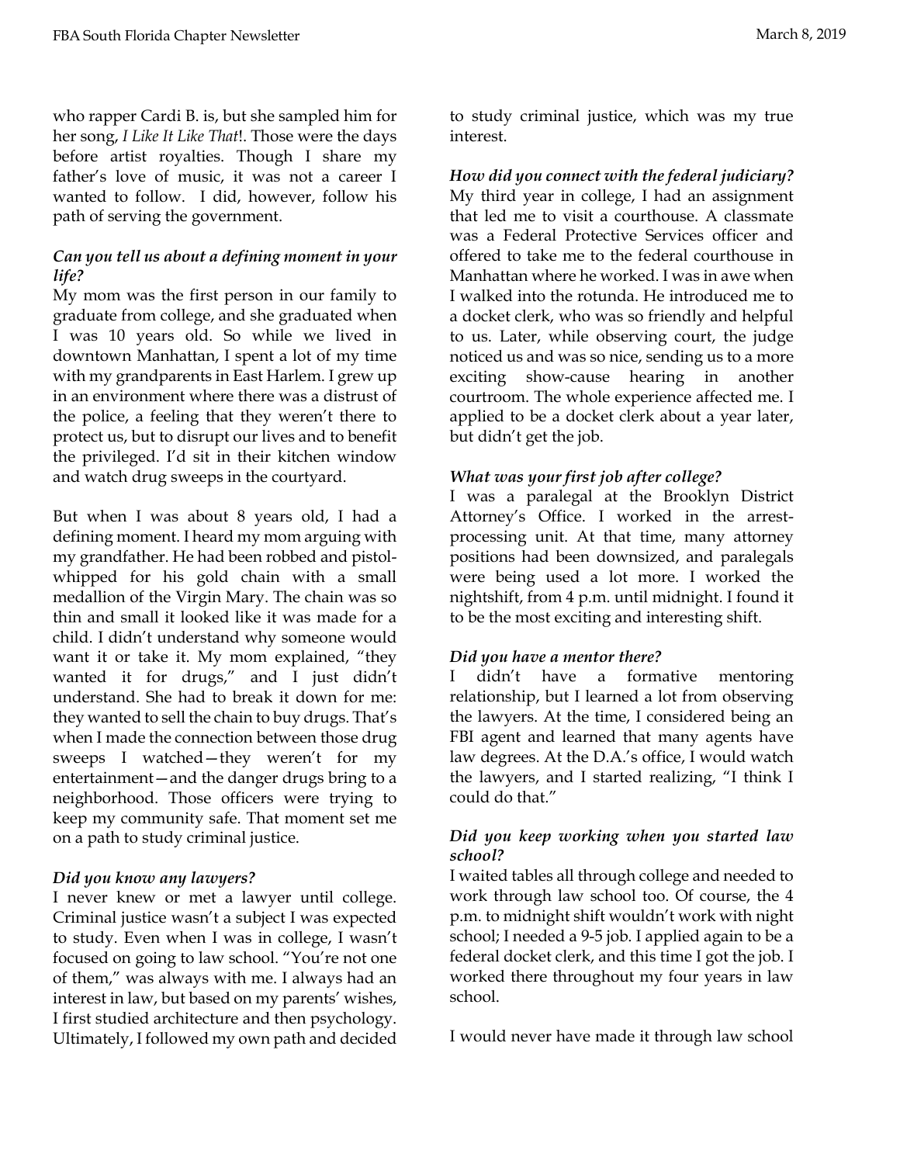who rapper Cardi B. is, but she sampled him for her song, *I Like It Like That*!. Those were the days before artist royalties. Though I share my father's love of music, it was not a career I wanted to follow. I did, however, follow his path of serving the government.

## *Can you tell us about a defining moment in your life?*

My mom was the first person in our family to graduate from college, and she graduated when I was 10 years old. So while we lived in downtown Manhattan, I spent a lot of my time with my grandparents in East Harlem. I grew up in an environment where there was a distrust of the police, a feeling that they weren't there to protect us, but to disrupt our lives and to benefit the privileged. I'd sit in their kitchen window and watch drug sweeps in the courtyard.

But when I was about 8 years old, I had a defining moment. I heard my mom arguing with my grandfather. He had been robbed and pistolwhipped for his gold chain with a small medallion of the Virgin Mary. The chain was so thin and small it looked like it was made for a child. I didn't understand why someone would want it or take it. My mom explained, "they wanted it for drugs," and I just didn't understand. She had to break it down for me: they wanted to sell the chain to buy drugs. That's when I made the connection between those drug sweeps I watched—they weren't for my entertainment—and the danger drugs bring to a neighborhood. Those officers were trying to keep my community safe. That moment set me on a path to study criminal justice.

## *Did you know any lawyers?*

I never knew or met a lawyer until college. Criminal justice wasn't a subject I was expected to study. Even when I was in college, I wasn't focused on going to law school. "You're not one of them," was always with me. I always had an interest in law, but based on my parents' wishes, I first studied architecture and then psychology. Ultimately, I followed my own path and decided

to study criminal justice, which was my true interest.

*How did you connect with the federal judiciary?* My third year in college, I had an assignment that led me to visit a courthouse. A classmate was a Federal Protective Services officer and offered to take me to the federal courthouse in Manhattan where he worked. I was in awe when I walked into the rotunda. He introduced me to a docket clerk, who was so friendly and helpful to us. Later, while observing court, the judge noticed us and was so nice, sending us to a more exciting show-cause hearing in another courtroom. The whole experience affected me. I applied to be a docket clerk about a year later, but didn't get the job.

### *What was your first job after college?*

I was a paralegal at the Brooklyn District Attorney's Office. I worked in the arrestprocessing unit. At that time, many attorney positions had been downsized, and paralegals were being used a lot more. I worked the nightshift, from 4 p.m. until midnight. I found it to be the most exciting and interesting shift.

#### *Did you have a mentor there?*

I didn't have a formative mentoring relationship, but I learned a lot from observing the lawyers. At the time, I considered being an FBI agent and learned that many agents have law degrees. At the D.A.'s office, I would watch the lawyers, and I started realizing, "I think I could do that."

## *Did you keep working when you started law school?*

I waited tables all through college and needed to work through law school too. Of course, the 4 p.m. to midnight shift wouldn't work with night school; I needed a 9-5 job. I applied again to be a federal docket clerk, and this time I got the job. I worked there throughout my four years in law school.

I would never have made it through law school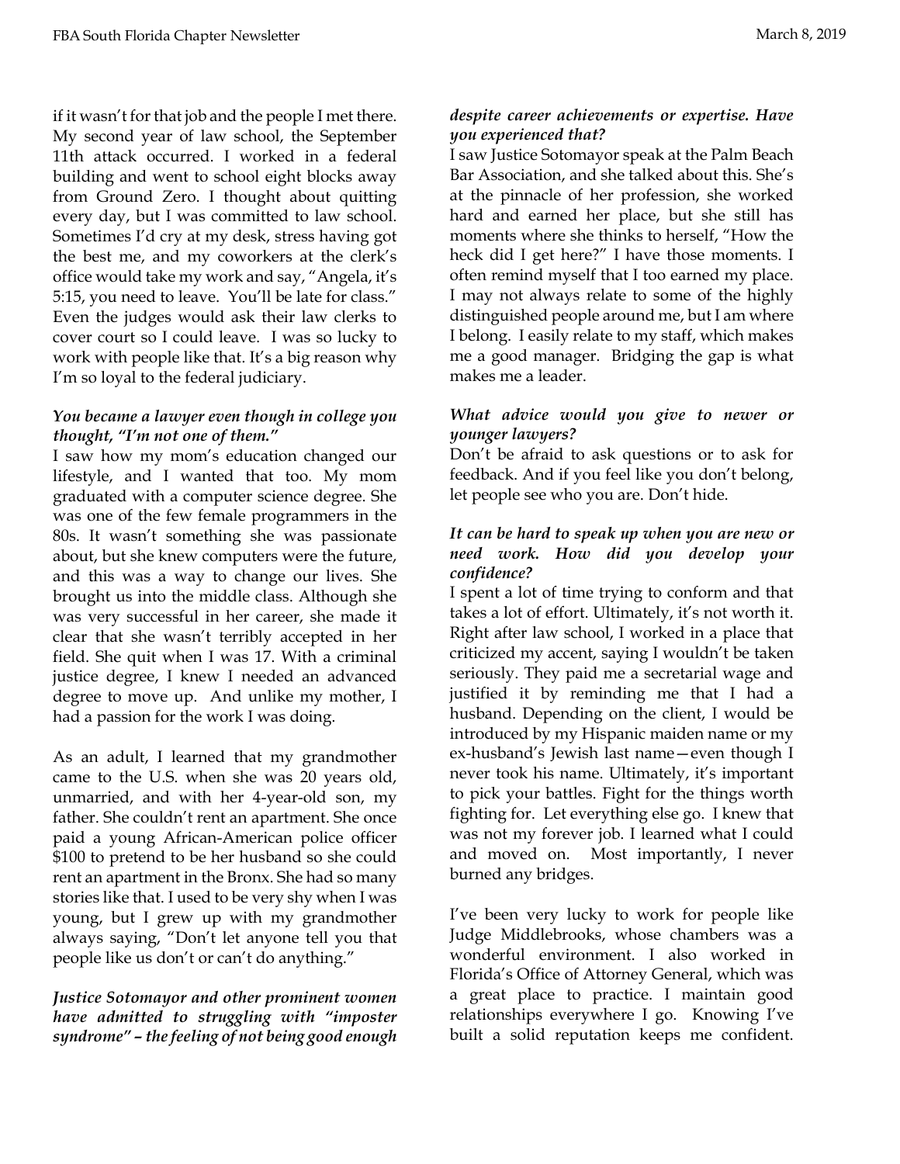if it wasn't for that job and the people I met there. My second year of law school, the September 11th attack occurred. I worked in a federal building and went to school eight blocks away from Ground Zero. I thought about quitting every day, but I was committed to law school. Sometimes I'd cry at my desk, stress having got the best me, and my coworkers at the clerk's office would take my work and say, "Angela, it's 5:15, you need to leave. You'll be late for class." Even the judges would ask their law clerks to cover court so I could leave. I was so lucky to work with people like that. It's a big reason why I'm so loyal to the federal judiciary.

## *You became a lawyer even though in college you thought, "I'm not one of them."*

I saw how my mom's education changed our lifestyle, and I wanted that too. My mom graduated with a computer science degree. She was one of the few female programmers in the 80s. It wasn't something she was passionate about, but she knew computers were the future, and this was a way to change our lives. She brought us into the middle class. Although she was very successful in her career, she made it clear that she wasn't terribly accepted in her field. She quit when I was 17. With a criminal justice degree, I knew I needed an advanced degree to move up. And unlike my mother, I had a passion for the work I was doing.

As an adult, I learned that my grandmother came to the U.S. when she was 20 years old, unmarried, and with her 4-year-old son, my father. She couldn't rent an apartment. She once paid a young African-American police officer \$100 to pretend to be her husband so she could rent an apartment in the Bronx. She had so many stories like that. I used to be very shy when I was young, but I grew up with my grandmother always saying, "Don't let anyone tell you that people like us don't or can't do anything."

### *Justice Sotomayor and other prominent women have admitted to struggling with "imposter syndrome" – the feeling of not being good enough*

## *despite career achievements or expertise. Have you experienced that?*

I saw Justice Sotomayor speak at the Palm Beach Bar Association, and she talked about this. She's at the pinnacle of her profession, she worked hard and earned her place, but she still has moments where she thinks to herself, "How the heck did I get here?" I have those moments. I often remind myself that I too earned my place. I may not always relate to some of the highly distinguished people around me, but I am where I belong. I easily relate to my staff, which makes me a good manager. Bridging the gap is what makes me a leader.

## *What advice would you give to newer or younger lawyers?*

Don't be afraid to ask questions or to ask for feedback. And if you feel like you don't belong, let people see who you are. Don't hide.

## *It can be hard to speak up when you are new or need work. How did you develop your confidence?*

I spent a lot of time trying to conform and that takes a lot of effort. Ultimately, it's not worth it. Right after law school, I worked in a place that criticized my accent, saying I wouldn't be taken seriously. They paid me a secretarial wage and justified it by reminding me that I had a husband. Depending on the client, I would be introduced by my Hispanic maiden name or my ex-husband's Jewish last name—even though I never took his name. Ultimately, it's important to pick your battles. Fight for the things worth fighting for. Let everything else go. I knew that was not my forever job. I learned what I could and moved on. Most importantly, I never burned any bridges.

I've been very lucky to work for people like Judge Middlebrooks, whose chambers was a wonderful environment. I also worked in Florida's Office of Attorney General, which was a great place to practice. I maintain good relationships everywhere I go. Knowing I've built a solid reputation keeps me confident.